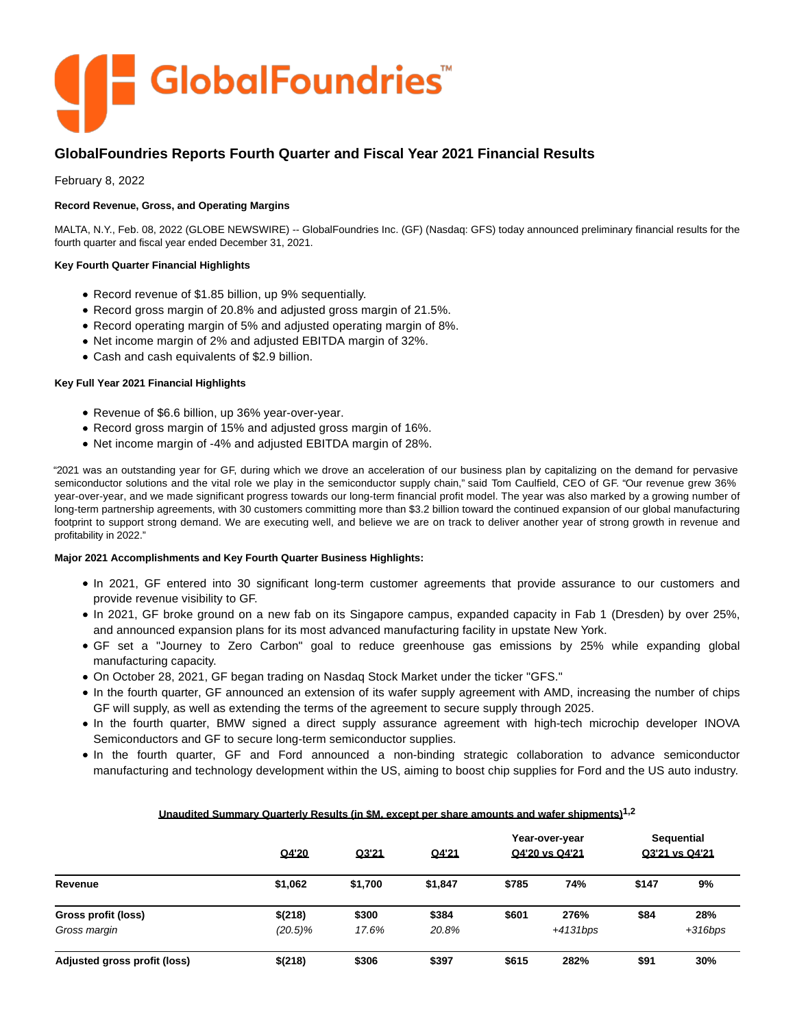

# **GlobalFoundries Reports Fourth Quarter and Fiscal Year 2021 Financial Results**

February 8, 2022

# **Record Revenue, Gross, and Operating Margins**

MALTA, N.Y., Feb. 08, 2022 (GLOBE NEWSWIRE) -- GlobalFoundries Inc. (GF) (Nasdaq: GFS) today announced preliminary financial results for the fourth quarter and fiscal year ended December 31, 2021.

### **Key Fourth Quarter Financial Highlights**

- Record revenue of \$1.85 billion, up 9% sequentially.
- Record gross margin of 20.8% and adjusted gross margin of 21.5%.
- Record operating margin of 5% and adjusted operating margin of 8%.
- Net income margin of 2% and adjusted EBITDA margin of 32%.
- Cash and cash equivalents of \$2.9 billion.

### **Key Full Year 2021 Financial Highlights**

- Revenue of \$6.6 billion, up 36% year-over-year.
- Record gross margin of 15% and adjusted gross margin of 16%.
- Net income margin of -4% and adjusted EBITDA margin of 28%.

"2021 was an outstanding year for GF, during which we drove an acceleration of our business plan by capitalizing on the demand for pervasive semiconductor solutions and the vital role we play in the semiconductor supply chain," said Tom Caulfield, CEO of GF. "Our revenue grew 36% year-over-year, and we made significant progress towards our long-term financial profit model. The year was also marked by a growing number of long-term partnership agreements, with 30 customers committing more than \$3.2 billion toward the continued expansion of our global manufacturing footprint to support strong demand. We are executing well, and believe we are on track to deliver another year of strong growth in revenue and profitability in 2022."

### **Major 2021 Accomplishments and Key Fourth Quarter Business Highlights:**

- In 2021, GF entered into 30 significant long-term customer agreements that provide assurance to our customers and provide revenue visibility to GF.
- In 2021, GF broke ground on a new fab on its Singapore campus, expanded capacity in Fab 1 (Dresden) by over 25%, and announced expansion plans for its most advanced manufacturing facility in upstate New York.
- GF set a "Journey to Zero Carbon" goal to reduce greenhouse gas emissions by 25% while expanding global manufacturing capacity.
- On October 28, 2021, GF began trading on Nasdaq Stock Market under the ticker "GFS."
- In the fourth quarter, GF announced an extension of its wafer supply agreement with AMD, increasing the number of chips GF will supply, as well as extending the terms of the agreement to secure supply through 2025.
- In the fourth quarter, BMW signed a direct supply assurance agreement with high-tech microchip developer INOVA Semiconductors and GF to secure long-term semiconductor supplies.
- In the fourth quarter, GF and Ford announced a non-binding strategic collaboration to advance semiconductor manufacturing and technology development within the US, aiming to boost chip supplies for Ford and the US auto industry.

|                              | Q4'20      | Q3'21   | Q4'21   |       | Year-over-year<br>Q4'20 vs Q4'21 |       | <b>Sequential</b><br>Q3'21 vs Q4'21 |
|------------------------------|------------|---------|---------|-------|----------------------------------|-------|-------------------------------------|
| Revenue                      | \$1,062    | \$1,700 | \$1,847 | \$785 | 74%                              | \$147 | 9%                                  |
| Gross profit (loss)          | \$(218)    | \$300   | \$384   | \$601 | 276%                             | \$84  | 28%                                 |
| Gross margin                 | $(20.5)\%$ | 17.6%   | 20.8%   |       | $+4131bps$                       |       | $+316bps$                           |
| Adjusted gross profit (loss) | \$(218)    | \$306   | \$397   | \$615 | 282%                             | \$91  | 30%                                 |

# **Unaudited Summary Quarterly Results (in \$M, except per share amounts and wafer shipments)1,2**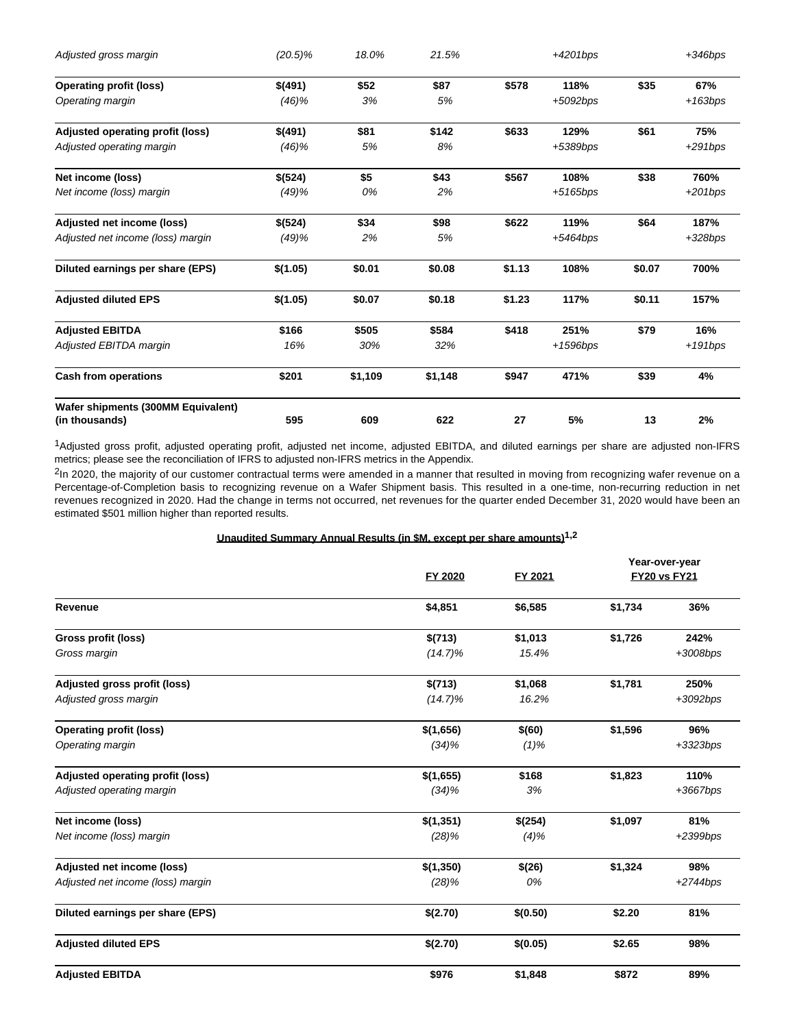| $(20.5)\%$ | 18.0%   | 21.5%   |        | $+4201bps$  |        | $+346bps$ |
|------------|---------|---------|--------|-------------|--------|-----------|
| \$(491)    | \$52    | \$87    | \$578  | 118%        | \$35   | 67%       |
| (46)%      | 3%      | 5%      |        | $+5092bps$  |        | $+163bps$ |
| \$(491)    | \$81    | \$142   | \$633  | 129%        | \$61   | 75%       |
| (46)%      | 5%      | 8%      |        | +5389bps    |        | $+291bps$ |
| \$(524)    | \$5     | \$43    | \$567  | 108%        | \$38   | 760%      |
| (49)%      | 0%      | 2%      |        | $+5165$ bps |        | $+201bps$ |
| \$(524)    | \$34    | \$98    | \$622  | 119%        | \$64   | 187%      |
| (49)%      | 2%      | 5%      |        | +5464bps    |        | $+328bps$ |
| \$(1.05)   | \$0.01  | \$0.08  | \$1.13 | 108%        | \$0.07 | 700%      |
| \$(1.05)   | \$0.07  | \$0.18  | \$1.23 | 117%        | \$0.11 | 157%      |
| \$166      | \$505   | \$584   | \$418  | 251%        | \$79   | 16%       |
| 16%        | 30%     | 32%     |        | +1596bps    |        | +191bps   |
| \$201      | \$1,109 | \$1,148 | \$947  | 471%        | \$39   | 4%        |
|            |         |         |        |             |        | 2%        |
|            | 595     | 609     | 622    | 27          | 5%     | 13        |

1Adjusted gross profit, adjusted operating profit, adjusted net income, adjusted EBITDA, and diluted earnings per share are adjusted non-IFRS metrics; please see the reconciliation of IFRS to adjusted non-IFRS metrics in the Appendix.

<sup>2</sup>In 2020, the majority of our customer contractual terms were amended in a manner that resulted in moving from recognizing wafer revenue on a Percentage-of-Completion basis to recognizing revenue on a Wafer Shipment basis. This resulted in a one-time, non-recurring reduction in net revenues recognized in 2020. Had the change in terms not occurred, net revenues for the quarter ended December 31, 2020 would have been an estimated \$501 million higher than reported results.

# **Unaudited Summary Annual Results (in \$M, except per share amounts)1,2**

|                                   | <b>FY 2020</b> | FY 2021  | Year-over-year<br><b>FY20 vs FY21</b> |            |  |
|-----------------------------------|----------------|----------|---------------------------------------|------------|--|
| Revenue                           | \$4,851        | \$6,585  | \$1,734                               | 36%        |  |
| Gross profit (loss)               | \$(713)        | \$1,013  | \$1,726                               | 242%       |  |
| Gross margin                      | $(14.7)\%$     | 15.4%    |                                       | +3008bps   |  |
| Adjusted gross profit (loss)      | \$(713)        | \$1,068  | \$1,781                               | 250%       |  |
| Adjusted gross margin             | $(14.7)\%$     | 16.2%    |                                       | $+3092bps$ |  |
| <b>Operating profit (loss)</b>    | \$(1,656)      | \$(60)   | \$1,596                               | 96%        |  |
| Operating margin                  | (34)%          | $(1)\%$  |                                       | $+3323bps$ |  |
| Adjusted operating profit (loss)  | \$(1,655)      | \$168    | \$1,823                               | 110%       |  |
| Adjusted operating margin         | (34)%          | 3%       |                                       | $+3667bps$ |  |
| Net income (loss)                 | \$(1,351)      | \$(254)  | \$1,097                               | 81%        |  |
| Net income (loss) margin          | (28)%          | $(4)\%$  |                                       | +2399bps   |  |
| Adjusted net income (loss)        | \$(1,350)      | \$(26)   | \$1,324                               | 98%        |  |
| Adjusted net income (loss) margin | (28)%          | 0%       |                                       | $+2744bps$ |  |
| Diluted earnings per share (EPS)  | \$(2.70)       | \$(0.50) | \$2.20                                | 81%        |  |
| <b>Adjusted diluted EPS</b>       | \$(2.70)       | \$(0.05) | \$2.65                                | 98%        |  |
| <b>Adjusted EBITDA</b>            | \$976          | \$1,848  | \$872                                 | 89%        |  |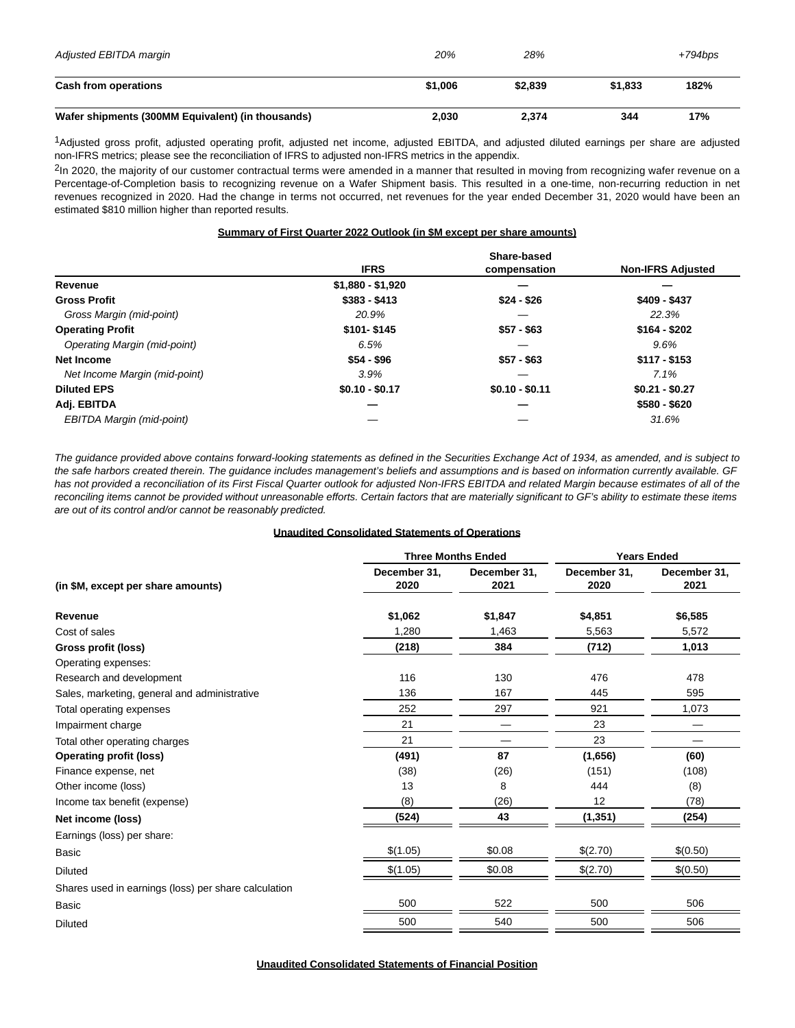| Adjusted EBITDA margin                            | 20%     | 28%     |         | $+794$ bps |
|---------------------------------------------------|---------|---------|---------|------------|
| Cash from operations                              | \$1,006 | \$2,839 | \$1.833 | 182%       |
| Wafer shipments (300MM Equivalent) (in thousands) | 2,030   | 2,374   | 344     | 17%        |

1Adjusted gross profit, adjusted operating profit, adjusted net income, adjusted EBITDA, and adjusted diluted earnings per share are adjusted non-IFRS metrics; please see the reconciliation of IFRS to adjusted non-IFRS metrics in the appendix.

<sup>2</sup>In 2020, the majority of our customer contractual terms were amended in a manner that resulted in moving from recognizing wafer revenue on a Percentage-of-Completion basis to recognizing revenue on a Wafer Shipment basis. This resulted in a one-time, non-recurring reduction in net revenues recognized in 2020. Had the change in terms not occurred, net revenues for the year ended December 31, 2020 would have been an estimated \$810 million higher than reported results.

#### **Summary of First Quarter 2022 Outlook (in \$M except per share amounts)**

|                                     |                   | Share-based     |                          |
|-------------------------------------|-------------------|-----------------|--------------------------|
|                                     | <b>IFRS</b>       | compensation    | <b>Non-IFRS Adjusted</b> |
| Revenue                             | $$1,880 - $1,920$ |                 |                          |
| <b>Gross Profit</b>                 | $$383 - $413$     | $$24 - $26$     | $$409 - $437$            |
| Gross Margin (mid-point)            | 20.9%             |                 | 22.3%                    |
| <b>Operating Profit</b>             | $$101 - $145$     | $$57 - $63$     | $$164 - $202$            |
| <b>Operating Margin (mid-point)</b> | 6.5%              |                 | 9.6%                     |
| Net Income                          | $$54 - $96$       | $$57 - $63$     | $$117 - $153$            |
| Net Income Margin (mid-point)       | 3.9%              |                 | 7.1%                     |
| <b>Diluted EPS</b>                  | $$0.10 - $0.17$   | $$0.10 - $0.11$ | $$0.21 - $0.27$          |
| Adj. EBITDA                         |                   |                 | $$580 - $620$            |
| EBITDA Margin (mid-point)           |                   |                 | 31.6%                    |

The guidance provided above contains forward-looking statements as defined in the Securities Exchange Act of 1934, as amended, and is subject to the safe harbors created therein. The guidance includes management's beliefs and assumptions and is based on information currently available. GF has not provided a reconciliation of its First Fiscal Quarter outlook for adjusted Non-IFRS EBITDA and related Margin because estimates of all of the reconciling items cannot be provided without unreasonable efforts. Certain factors that are materially significant to GF's ability to estimate these items are out of its control and/or cannot be reasonably predicted.

### **Unaudited Consolidated Statements of Operations**

|                                                      |                      | <b>Three Months Ended</b> | <b>Years Ended</b>   |                      |
|------------------------------------------------------|----------------------|---------------------------|----------------------|----------------------|
| (in \$M, except per share amounts)                   | December 31,<br>2020 | December 31,<br>2021      | December 31,<br>2020 | December 31,<br>2021 |
| Revenue                                              | \$1,062              | \$1,847                   | \$4,851              | \$6,585              |
| Cost of sales                                        | 1,280                | 1,463                     | 5,563                | 5,572                |
| Gross profit (loss)                                  | (218)                | 384                       | (712)                | 1,013                |
| Operating expenses:                                  |                      |                           |                      |                      |
| Research and development                             | 116                  | 130                       | 476                  | 478                  |
| Sales, marketing, general and administrative         | 136                  | 167                       | 445                  | 595                  |
| Total operating expenses                             | 252                  | 297                       | 921                  | 1,073                |
| Impairment charge                                    | 21                   |                           | 23                   |                      |
| Total other operating charges                        | 21                   |                           | 23                   |                      |
| <b>Operating profit (loss)</b>                       | (491)                | 87                        | (1,656)              | (60)                 |
| Finance expense, net                                 | (38)                 | (26)                      | (151)                | (108)                |
| Other income (loss)                                  | 13                   | 8                         | 444                  | (8)                  |
| Income tax benefit (expense)                         | (8)                  | (26)                      | 12                   | (78)                 |
| Net income (loss)                                    | (524)                | 43                        | (1, 351)             | (254)                |
| Earnings (loss) per share:                           |                      |                           |                      |                      |
| <b>Basic</b>                                         | \$(1.05)             | \$0.08                    | \$(2.70)             | \$(0.50)             |
| <b>Diluted</b>                                       | \$(1.05)             | \$0.08                    | \$(2.70)             | \$(0.50)             |
| Shares used in earnings (loss) per share calculation |                      |                           |                      |                      |
| <b>Basic</b>                                         | 500                  | 522                       | 500                  | 506                  |
| <b>Diluted</b>                                       | 500                  | 540                       | 500                  | 506                  |
|                                                      |                      |                           |                      |                      |

**Unaudited Consolidated Statements of Financial Position**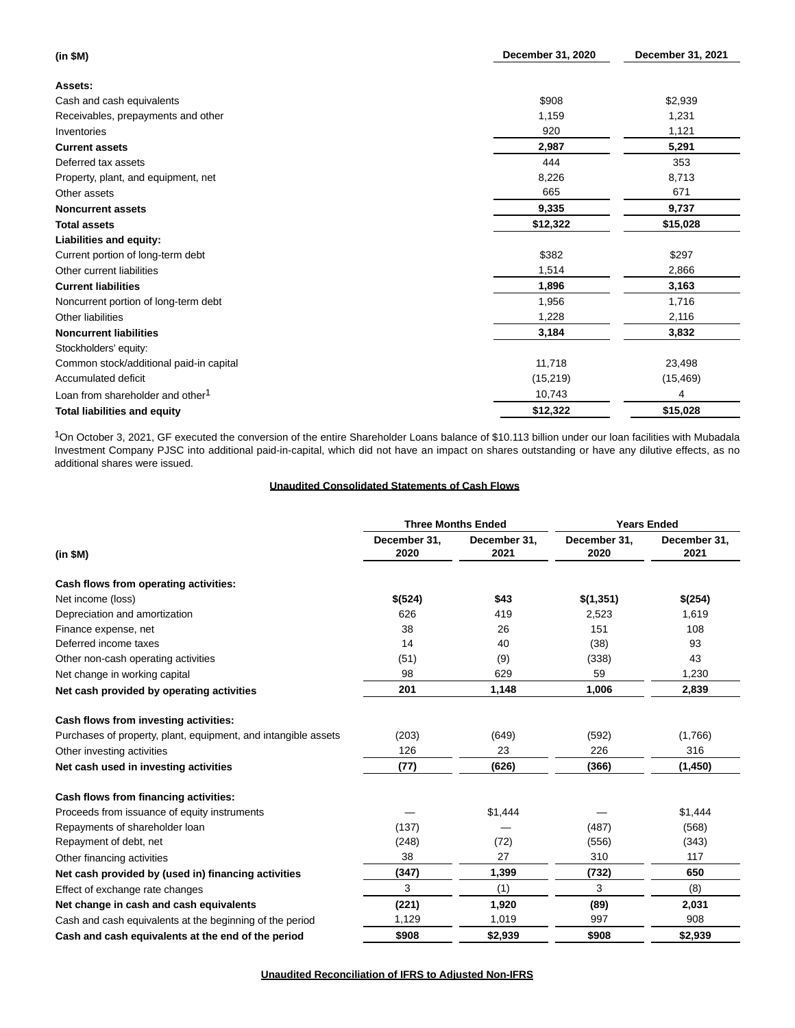| (in \$M)                                     | December 31, 2020 | December 31, 2021 |
|----------------------------------------------|-------------------|-------------------|
| Assets:                                      |                   |                   |
| Cash and cash equivalents                    | \$908             | \$2,939           |
| Receivables, prepayments and other           | 1,159             | 1,231             |
| Inventories                                  | 920               | 1,121             |
| <b>Current assets</b>                        | 2,987             | 5,291             |
| Deferred tax assets                          | 444               | 353               |
| Property, plant, and equipment, net          | 8,226             | 8,713             |
| Other assets                                 | 665               | 671               |
| <b>Noncurrent assets</b>                     | 9,335             | 9,737             |
| <b>Total assets</b>                          | \$12,322          | \$15,028          |
| Liabilities and equity:                      |                   |                   |
| Current portion of long-term debt            | \$382             | \$297             |
| Other current liabilities                    | 1,514             | 2,866             |
| <b>Current liabilities</b>                   | 1,896             | 3,163             |
| Noncurrent portion of long-term debt         | 1,956             | 1,716             |
| Other liabilities                            | 1,228             | 2,116             |
| <b>Noncurrent liabilities</b>                | 3,184             | 3,832             |
| Stockholders' equity:                        |                   |                   |
| Common stock/additional paid-in capital      | 11,718            | 23,498            |
| Accumulated deficit                          | (15, 219)         | (15, 469)         |
| Loan from shareholder and other <sup>1</sup> | 10,743            | 4                 |
| <b>Total liabilities and equity</b>          | \$12,322          | \$15,028          |

<sup>1</sup>On October 3, 2021, GF executed the conversion of the entire Shareholder Loans balance of \$10.113 billion under our loan facilities with Mubadala Investment Company PJSC into additional paid-in-capital, which did not have an impact on shares outstanding or have any dilutive effects, as no additional shares were issued.

# **Unaudited Consolidated Statements of Cash Flows**

|                                                                | <b>Three Months Ended</b> |                      | <b>Years Ended</b>   |                      |
|----------------------------------------------------------------|---------------------------|----------------------|----------------------|----------------------|
| (in \$M)                                                       | December 31.<br>2020      | December 31,<br>2021 | December 31.<br>2020 | December 31.<br>2021 |
| Cash flows from operating activities:                          |                           |                      |                      |                      |
| Net income (loss)                                              | \$(524)                   | \$43                 | \$(1,351)            | \$(254)              |
| Depreciation and amortization                                  | 626                       | 419                  | 2,523                | 1,619                |
| Finance expense, net                                           | 38                        | 26                   | 151                  | 108                  |
| Deferred income taxes                                          | 14                        | 40                   | (38)                 | 93                   |
| Other non-cash operating activities                            | (51)                      | (9)                  | (338)                | 43                   |
| Net change in working capital                                  | 98                        | 629                  | 59                   | 1,230                |
| Net cash provided by operating activities                      | 201                       | 1,148                | 1,006                | 2,839                |
| Cash flows from investing activities:                          |                           |                      |                      |                      |
| Purchases of property, plant, equipment, and intangible assets | (203)                     | (649)                | (592)                | (1,766)              |
| Other investing activities                                     | 126                       | 23                   | 226                  | 316                  |
| Net cash used in investing activities                          | (77)                      | (626)                | (366)                | (1, 450)             |
| Cash flows from financing activities:                          |                           |                      |                      |                      |
| Proceeds from issuance of equity instruments                   |                           | \$1,444              |                      | \$1,444              |
| Repayments of shareholder loan                                 | (137)                     |                      | (487)                | (568)                |
| Repayment of debt, net                                         | (248)                     | (72)                 | (556)                | (343)                |
| Other financing activities                                     | 38                        | 27                   | 310                  | 117                  |
| Net cash provided by (used in) financing activities            | (347)                     | 1,399                | (732)                | 650                  |
| Effect of exchange rate changes                                | 3                         | (1)                  | 3                    | (8)                  |
| Net change in cash and cash equivalents                        | (221)                     | 1,920                | (89)                 | 2,031                |
| Cash and cash equivalents at the beginning of the period       | 1,129                     | 1,019                | 997                  | 908                  |
| Cash and cash equivalents at the end of the period             | \$908                     | \$2,939              | \$908                | \$2,939              |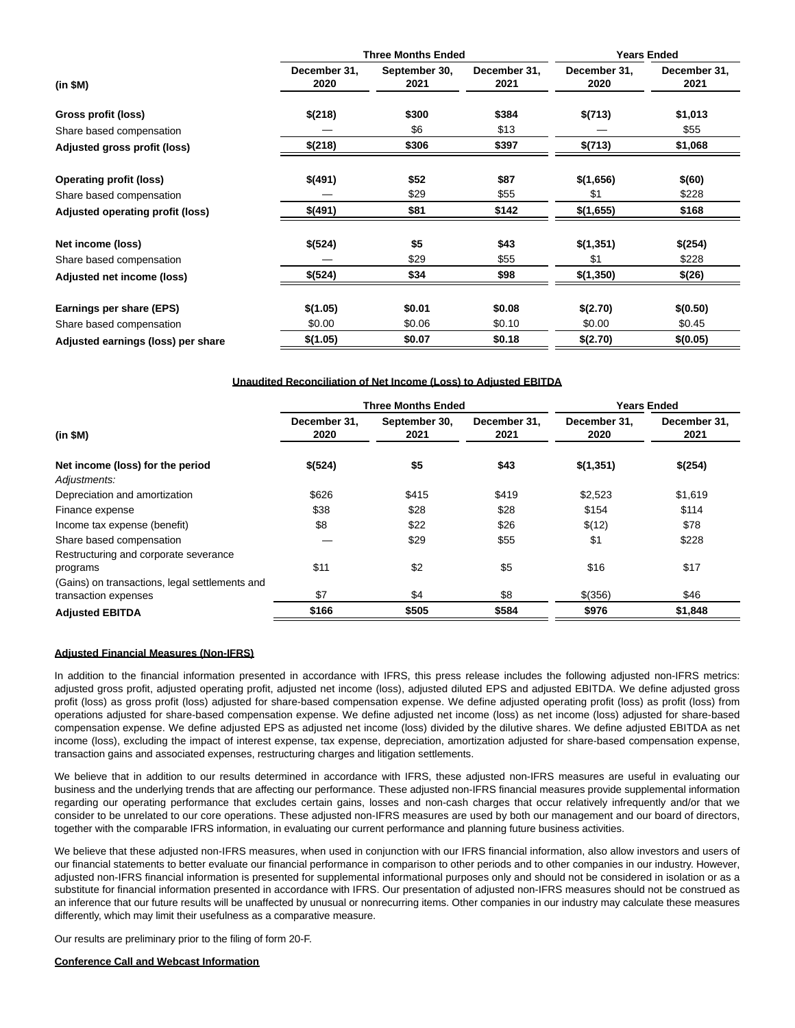|                                    |                      | <b>Three Months Ended</b> | <b>Years Ended</b>   |                      |                      |
|------------------------------------|----------------------|---------------------------|----------------------|----------------------|----------------------|
| (in \$M)                           | December 31,<br>2020 | September 30,<br>2021     | December 31,<br>2021 | December 31,<br>2020 | December 31,<br>2021 |
| Gross profit (loss)                | \$(218)              | \$300                     | \$384                | \$(713)              | \$1,013              |
| Share based compensation           |                      | \$6                       | \$13                 |                      | \$55                 |
| Adjusted gross profit (loss)       | \$(218)              | \$306                     | \$397                | \$(713)              | \$1,068              |
| <b>Operating profit (loss)</b>     | \$(491)              | \$52                      | \$87                 | \$(1,656)            | \$(60)               |
| Share based compensation           |                      | \$29                      | \$55                 | \$1                  | \$228                |
| Adjusted operating profit (loss)   | \$(491)              | \$81                      | \$142                | \$(1,655)            | \$168                |
| Net income (loss)                  | \$(524)              | \$5                       | \$43                 | \$(1,351)            | \$(254)              |
| Share based compensation           |                      | \$29                      | \$55                 | \$1                  | \$228                |
| Adjusted net income (loss)         | \$(524)              | \$34                      | \$98                 | \$(1,350)            | \$(26)               |
| Earnings per share (EPS)           | \$(1.05)             | \$0.01                    | \$0.08               | \$(2.70)             | \$(0.50)             |
| Share based compensation           | \$0.00               | \$0.06                    | \$0.10               | \$0.00               | \$0.45               |
| Adjusted earnings (loss) per share | \$(1.05)             | \$0.07                    | \$0.18               | \$(2.70)             | \$(0.05)             |

#### **Unaudited Reconciliation of Net Income (Loss) to Adjusted EBITDA**

|                                                                        |                      | <b>Three Months Ended</b> |                      | <b>Years Ended</b>   |                      |
|------------------------------------------------------------------------|----------------------|---------------------------|----------------------|----------------------|----------------------|
| (in \$M)                                                               | December 31.<br>2020 | September 30,<br>2021     | December 31.<br>2021 | December 31.<br>2020 | December 31.<br>2021 |
| Net income (loss) for the period                                       | \$(524)              | \$5                       | \$43                 | \$(1,351)            | \$(254)              |
| Adjustments:                                                           |                      |                           |                      |                      |                      |
| Depreciation and amortization                                          | \$626                | \$415                     | \$419                | \$2,523              | \$1,619              |
| Finance expense                                                        | \$38                 | \$28                      | \$28                 | \$154                | \$114                |
| Income tax expense (benefit)                                           | \$8                  | \$22                      | \$26                 | \$(12)               | \$78                 |
| Share based compensation                                               |                      | \$29                      | \$55                 | \$1                  | \$228                |
| Restructuring and corporate severance                                  |                      |                           |                      |                      |                      |
| programs                                                               | \$11                 | \$2                       | \$5                  | \$16                 | \$17                 |
| (Gains) on transactions, legal settlements and<br>transaction expenses | \$7                  | \$4                       | \$8                  | $$^{(356)}$          | \$46                 |
| <b>Adjusted EBITDA</b>                                                 | \$166                | \$505                     | \$584                | \$976                | \$1,848              |

#### **Adjusted Financial Measures (Non-IFRS)**

In addition to the financial information presented in accordance with IFRS, this press release includes the following adjusted non-IFRS metrics: adjusted gross profit, adjusted operating profit, adjusted net income (loss), adjusted diluted EPS and adjusted EBITDA. We define adjusted gross profit (loss) as gross profit (loss) adjusted for share-based compensation expense. We define adjusted operating profit (loss) as profit (loss) from operations adjusted for share-based compensation expense. We define adjusted net income (loss) as net income (loss) adjusted for share-based compensation expense. We define adjusted EPS as adjusted net income (loss) divided by the dilutive shares. We define adjusted EBITDA as net income (loss), excluding the impact of interest expense, tax expense, depreciation, amortization adjusted for share-based compensation expense, transaction gains and associated expenses, restructuring charges and litigation settlements.

We believe that in addition to our results determined in accordance with IFRS, these adjusted non-IFRS measures are useful in evaluating our business and the underlying trends that are affecting our performance. These adjusted non-IFRS financial measures provide supplemental information regarding our operating performance that excludes certain gains, losses and non-cash charges that occur relatively infrequently and/or that we consider to be unrelated to our core operations. These adjusted non-IFRS measures are used by both our management and our board of directors, together with the comparable IFRS information, in evaluating our current performance and planning future business activities.

We believe that these adjusted non-IFRS measures, when used in conjunction with our IFRS financial information, also allow investors and users of our financial statements to better evaluate our financial performance in comparison to other periods and to other companies in our industry. However, adjusted non-IFRS financial information is presented for supplemental informational purposes only and should not be considered in isolation or as a substitute for financial information presented in accordance with IFRS. Our presentation of adjusted non-IFRS measures should not be construed as an inference that our future results will be unaffected by unusual or nonrecurring items. Other companies in our industry may calculate these measures differently, which may limit their usefulness as a comparative measure.

Our results are preliminary prior to the filing of form 20-F.

## **Conference Call and Webcast Information**